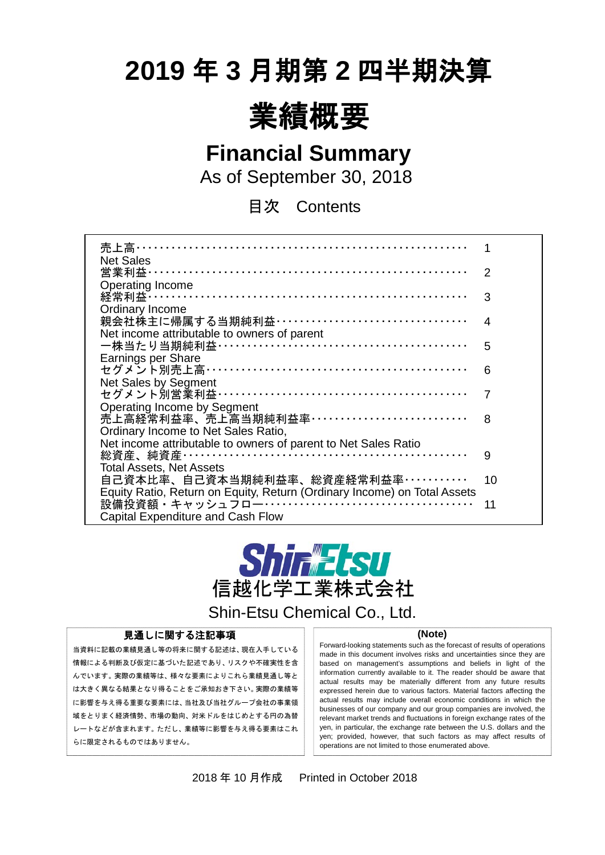# **2019** 年 **3** 月期第 **2** 四半期決算



**Financial Summary**

As of September 30, 2018

目次 Contents

| 売上高・・・・・・・・・                                                             |    |
|--------------------------------------------------------------------------|----|
| <b>Net Sales</b>                                                         |    |
| 営業利益………                                                                  | 2  |
| <b>Operating Income</b>                                                  |    |
| 経常利益 ……………………………………………………………                                             | 3  |
| Ordinary Income                                                          |    |
| 親会社株主に帰属する当期純利益 ··································                       | 4  |
| Net income attributable to owners of parent                              |    |
| 一株当たり当期純利益 ……………………………………………                                             | 5  |
| Earnings per Share                                                       |    |
| セグメント別売上高 ………………………………………………                                             | 6  |
| Net Sales by Segment                                                     |    |
| セグメント別営業利益 ……………………………………………                                             |    |
| <b>Operating Income by Segment</b>                                       |    |
| 売上高経常利益率、売上高当期純利益率……………………………                                            | 8  |
| Ordinary Income to Net Sales Ratio,                                      |    |
| Net income attributable to owners of parent to Net Sales Ratio           |    |
|                                                                          | 9  |
| <b>Total Assets, Net Assets</b>                                          |    |
| 自己資本比率、自己資本当期純利益率、総資産経常利益率…………                                           | 10 |
| Equity Ratio, Return on Equity, Return (Ordinary Income) on Total Assets |    |
|                                                                          |    |
|                                                                          | 11 |
| <b>Capital Expenditure and Cash Flow</b>                                 |    |



Shin-Etsu Chemical Co., Ltd.

### 見通しに関する注記事項

当資料に記載の業績見通し等の将来に関する記述は、現在入手している 情報による判断及び仮定に基づいた記述であり、リスクや不確実性を含 んでいます。実際の業績等は、様々な要素によりこれら業績見通し等と は大きく異なる結果となり得ることをご承知おき下さい。実際の業績等 に影響を与え得る重要な要素には、当社及び当社グループ会社の事業領 域をとりまく経済情勢、市場の動向、対米ドルをはじめとする円の為替 レートなどが含まれます。ただし、業績等に影響を与え得る要素はこれ らに限定されるものではありません。

 $\overline{a}$ 

#### **(Note)**

Forward-looking statements such as the forecast of results of operations made in this document involves risks and uncertainties since they are based on management's assumptions and beliefs in light of the information currently available to it. The reader should be aware that actual results may be materially different from any future results expressed herein due to various factors. Material factors affecting the actual results may include overall economic conditions in which the businesses of our company and our group companies are involved, the relevant market trends and fluctuations in foreign exchange rates of the yen, in particular, the exchange rate between the U.S. dollars and the yen; provided, however, that such factors as may affect results of operations are not limited to those enumerated above.

2018 年 10 月作成 Printed in October 2018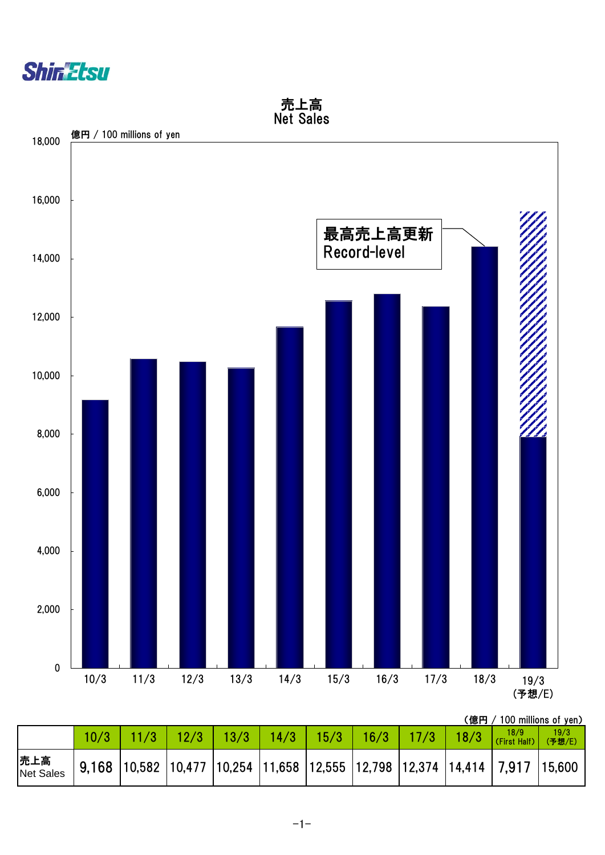



(億円 / 100 millions of yen)

|                  | $\left[\begin{array}{c c c c c c} 11/3 & 12/3 & 13/3 & 14/3 & 15/3 & 16/3 & 17/3 & 18/3 & 18/3 & 18/3 & 18/3 & 18/3 & 18/3 & 18/3 & 18/3 & 18/3 & 18/3 & 18/3 & 18/3 & 18/3 & 18/3 & 18/3 & 18/3 & 18/3 & 18/3 & 18/3 & 18/3 & 18/3 & 18/3 & 18/3 & 18/3 & 18/3 & 18/3 & 18$ |  |                                                                                       |  |  | 19/3<br>(予想/E) |
|------------------|------------------------------------------------------------------------------------------------------------------------------------------------------------------------------------------------------------------------------------------------------------------------------|--|---------------------------------------------------------------------------------------|--|--|----------------|
| 売上高<br>Net Sales |                                                                                                                                                                                                                                                                              |  | 9,168  10,582  10,477  10,254  11,658  12,555  12,798  12,374  14,414   7,917  15,600 |  |  |                |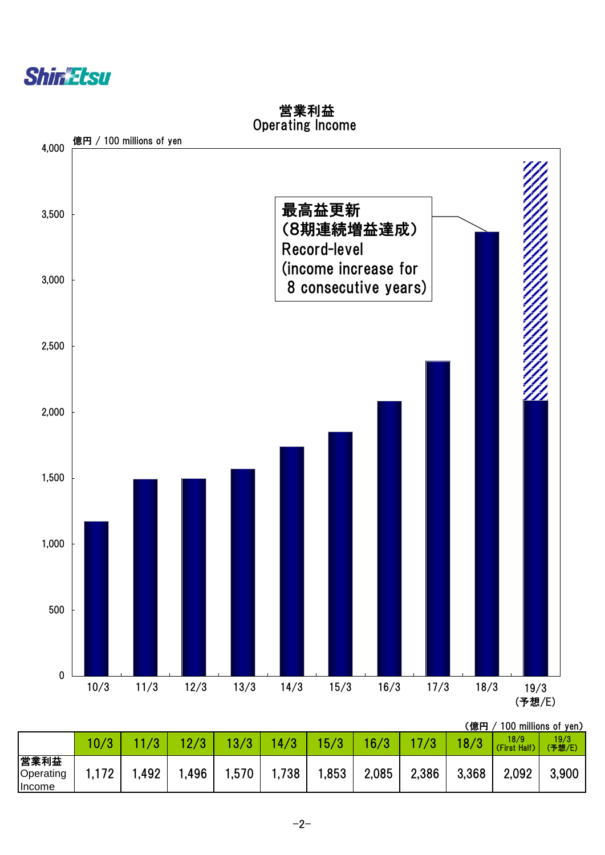



 営業利益 Operating Income

(億円 / 100 millions of yen)

|                                    | 10/3        |      | 12/3 | $\mathbf{R}$ | 14/3 | 15/3  | 16/3  |       | 8/3   | . <i>.</i><br>18/9<br>(First Half) | 19/3<br>(予想/E) |
|------------------------------------|-------------|------|------|--------------|------|-------|-------|-------|-------|------------------------------------|----------------|
| 営業利益<br>Operating<br><b>Income</b> | 170<br>I.IZ | ,492 | ,496 | 1,570        | ,738 | 1,853 | 2,085 | 2,386 | 3,368 | 2,092                              | 3,900          |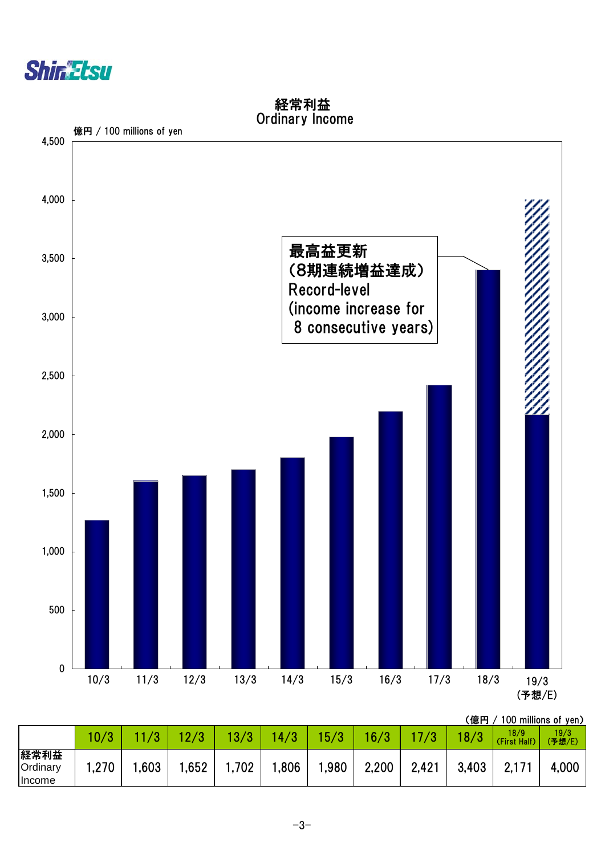

0 500 1,000 1,500 2,000 2,500 3,000 3,500 4,000 4,500 10/3 11/3 12/3 13/3 14/3 15/3 16/3 17/3 18/3 19/3 (予想/E) 最高益更新 (8期連続増益達成) Record-level (income increase for 8 consecutive years) 億円 / 100 millions of yen

| 経常利益            |  |
|-----------------|--|
| Ordinary Income |  |

|                                   | 10/3 | $1\sigma$ | ി 70<br><b>L</b> | 13/3  | /3<br>$\mathbf{A}$ | 15/3 | 16/3  |       | 18/3  | 18/9<br>(First Half) | 19/3<br>(予想/E) |
|-----------------------------------|------|-----------|------------------|-------|--------------------|------|-------|-------|-------|----------------------|----------------|
| 経常利益<br>Ordinary<br><b>Income</b> | ,270 | ,603      | ,652             | 1,702 | .806               | ,980 | 2,200 | 2,421 | 3,403 | Z.I I                | 4,000          |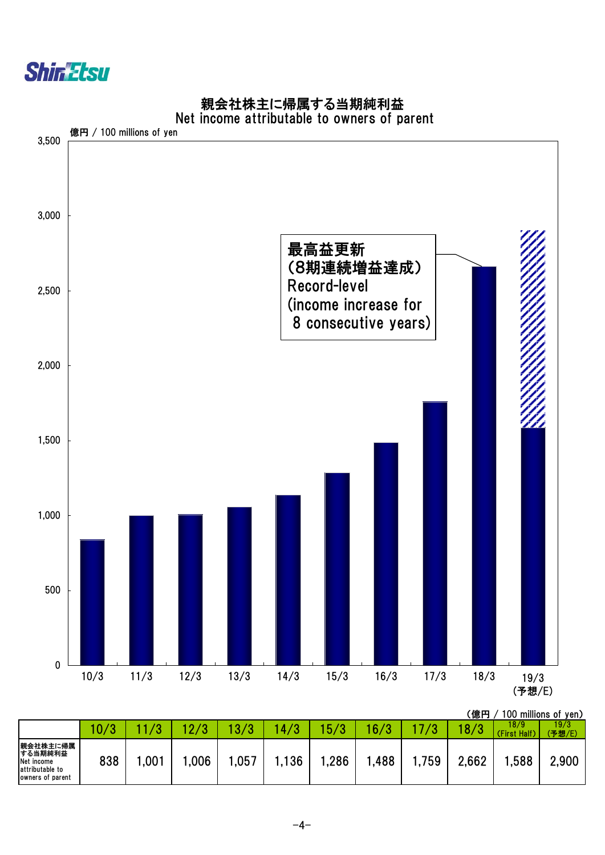



|  |  | 親会社株主に帰属する当期純利益                             |  |
|--|--|---------------------------------------------|--|
|  |  | let income attributable to owners of narent |  |

|                                                                          |      |                  |            |      |     |          |      |       | 、1息鬥  |                      | TUU MIIIIONS OT YEN. |
|--------------------------------------------------------------------------|------|------------------|------------|------|-----|----------|------|-------|-------|----------------------|----------------------|
|                                                                          | 10/3 |                  | $\sqrt{2}$ | 70   | 4/3 | 70<br>υı | 6/3  |       | 8/3   | 18/9<br>(First Half) | 19/3<br>(予想/E)       |
| 親会社株主に帰属<br>する当期純利益<br>Net income<br>attributable to<br>owners of parent | 838  | ,00 <sup>1</sup> | ,006       | ,057 | 136 | ,286     | ,488 | 1,759 | 2,662 | ,588                 | 2,900                |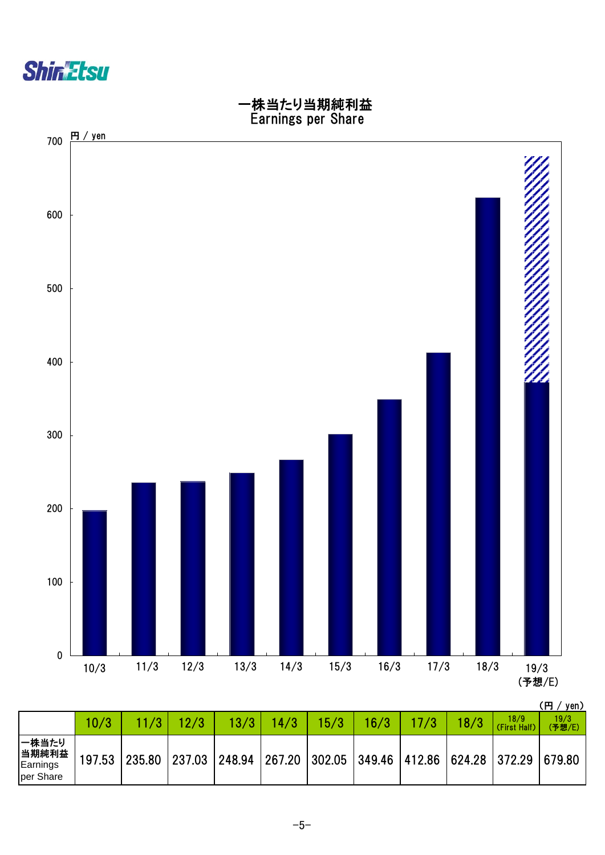



|                                         |        |               |      |      |      |      |      |      |      |                                                                       | \  J / JVII/   |
|-----------------------------------------|--------|---------------|------|------|------|------|------|------|------|-----------------------------------------------------------------------|----------------|
|                                         | 10/3   |               | 12/3 | 13/3 | 14/3 | 15/3 | 16/3 | 17/3 | 18/3 | 18/9<br>(First Half)                                                  | 19/3<br>(予想/E) |
| 一株当たり<br>当期純利益<br>Earnings<br>per Share | 197.53 | 235.80 237.03 |      |      |      |      |      |      |      | 248.94   267.20   302.05   349.46   412.86   624.28   372.29   679.80 |                |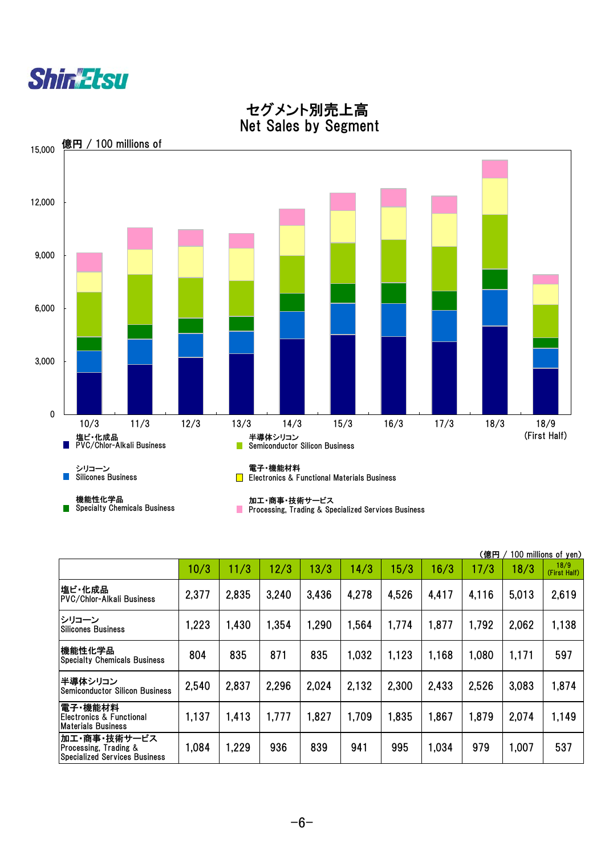



 セグメント別売上高 Net Sales by Segment

|                                                                        |       |       |       |       |       |       |       | (億円   |       | 100 m <u>illions of yen)</u> |
|------------------------------------------------------------------------|-------|-------|-------|-------|-------|-------|-------|-------|-------|------------------------------|
|                                                                        | 10/3  | 11/3  | 12/3  | 13/3  | 14/3  | 15/3  | 16/3  | 17/3  | 18/3  | 18/9<br>(First Half)         |
| 塩ビ・化成品 <br> PVC/Chlor-Alkali Business                                  | 2,377 | 2,835 | 3,240 | 3,436 | 4.278 | 4.526 | 4,417 | 4,116 | 5,013 | 2,619                        |
| トシリコーン<br>lSilicones Business                                          | 1,223 | 1,430 | 1,354 | 1,290 | 1,564 | 1,774 | 1,877 | 1,792 | 2,062 | 1,138                        |
| 機能性化学品<br> Specialty Chemicals Business                                | 804   | 835   | 871   | 835   | 1,032 | 1,123 | 1,168 | 1,080 | 1,171 | 597                          |
| 半導体シリコン<br><b>Semiconductor Silicon Business</b>                       | 2,540 | 2,837 | 2,296 | 2,024 | 2,132 | 2,300 | 2,433 | 2,526 | 3,083 | 1,874                        |
| 電子・機能材料<br> Electronics & Functional<br><b>Materials Business</b>      | 1,137 | 1,413 | 1,777 | 1,827 | 1,709 | 1,835 | 1,867 | 1,879 | 2,074 | 1,149                        |
| 加工・商事・技術サービス<br>Processing, Trading &<br>Specialized Services Business | 1,084 | 1,229 | 936   | 839   | 941   | 995   | 1,034 | 979   | 1,007 | 537                          |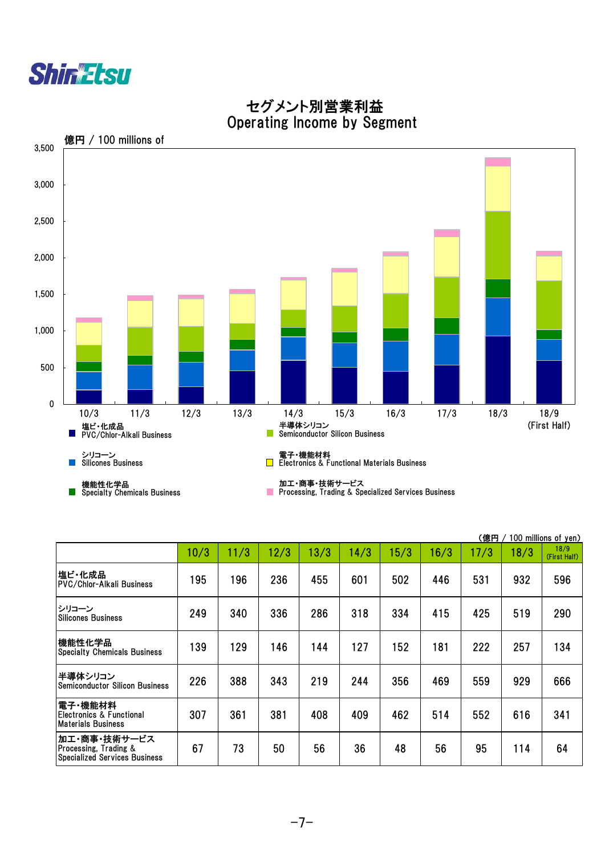



## セグメント別営業利益 Operating Income by Segment

|                                                                        |      |      |      |      |      |      |      | (億円  |      | 100 m <u>illions of yen)</u> |
|------------------------------------------------------------------------|------|------|------|------|------|------|------|------|------|------------------------------|
|                                                                        | 10/3 | 11/3 | 12/3 | 13/3 | 14/3 | 15/3 | 16/3 | 17/3 | 18/3 | 18/9<br>(First Half)         |
| 塩ビ・化成品<br><b>PVC/Chlor-Alkali Business</b>                             | 195  | 196  | 236  | 455  | 601  | 502  | 446  | 531  | 932  | 596                          |
| シリコーン<br><b>Silicones Business</b>                                     | 249  | 340  | 336  | 286  | 318  | 334  | 415  | 425  | 519  | 290                          |
| 機能性化学品<br><b>Specialty Chemicals Business</b>                          | 139  | 129  | 146  | 144  | 127  | 152  | 181  | 222  | 257  | 134                          |
| 半導体シリコン<br><b>Semiconductor Silicon Business</b>                       | 226  | 388  | 343  | 219  | 244  | 356  | 469  | 559  | 929  | 666                          |
| 電子・機能材料 <br> Electronics & Functional<br>Materials Business            | 307  | 361  | 381  | 408  | 409  | 462  | 514  | 552  | 616  | 341                          |
| 加工・商事・技術サービス<br>Processing, Trading &<br>Specialized Services Business | 67   | 73   | 50   | 56   | 36   | 48   | 56   | 95   | 114  | 64                           |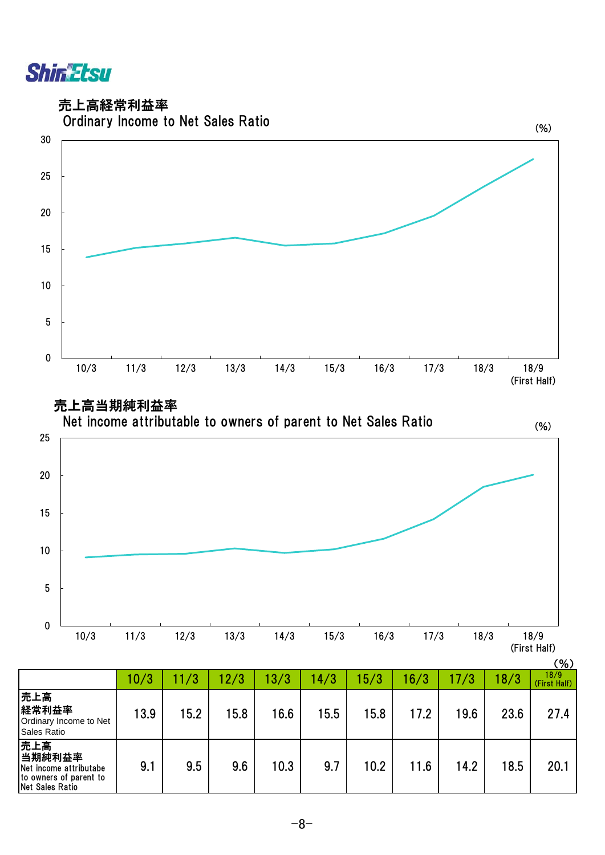

売上高経常利益率





|                                                                                      | 10/3 | 11/3 | 12/3 | 13/3 | 14/3 | 15/3 | 16/3 | 17/3 | 18/3 | 18/9<br>(First Half) |
|--------------------------------------------------------------------------------------|------|------|------|------|------|------|------|------|------|----------------------|
| 売上高<br>経常利益率<br>Ordinary Income to Net<br>Sales Ratio                                | 13.9 | 15.2 | 15.8 | 16.6 | 15.5 | 15.8 | 17.2 | 19.6 | 23.6 | 27.4                 |
| 売上高<br>当期純利益率<br>Net income attributabe<br>to owners of parent to<br>Net Sales Ratio | 9.1  | 9.5  | 9.6  | 10.3 | 9.7  | 10.2 | 11.6 | 14.2 | 18.5 | 20.1                 |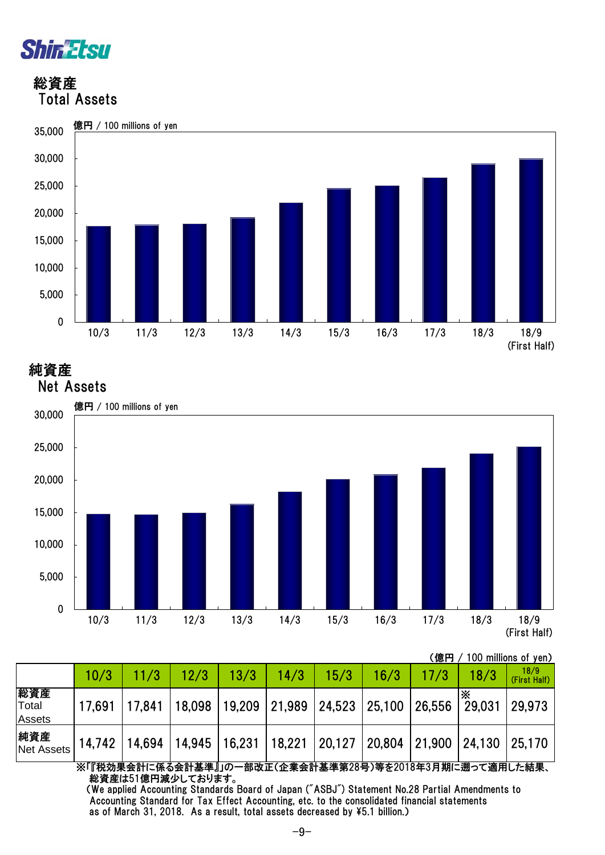

 総資産 Total Assets



純資産

Net Assets



(億円 / 100 millions of yen)

|                               | 10/3   | 11/3   | 12/3            | 13/3                        | 14/3   | 15/3   | 16/3 |                      | 18/3   | 18/9<br>(First Half) |
|-------------------------------|--------|--------|-----------------|-----------------------------|--------|--------|------|----------------------|--------|----------------------|
| 総資産<br>Total<br><b>Assets</b> | 17.691 | 17.841 | 18,098          | 19,209 21,989 24,523 25,100 |        |        |      | 26,556               | 29,031 | 29,973               |
| 純資産<br><b>Net Assets</b>      | 14,742 | 14,694 | 14,945   16,231 |                             | 18,221 | 20,127 |      | 20,804 21,900 24,130 |        | 25,170               |
|                               |        |        |                 |                             |        |        |      |                      |        |                      |

※「『税効果会計に係る会計基準』」の一部改正(企業会計基準第28号)等を2018年3月期に遡って適用した結果、 総資産は51億円減少しております。

 (We applied Accounting Standards Board of Japan ("ASBJ") Statement No.28 Partial Amendments to Accounting Standard for Tax Effect Accounting, etc. to the consolidated financial statements as of March 31, 2018. As a result, total assets decreased by \5.1 billion.)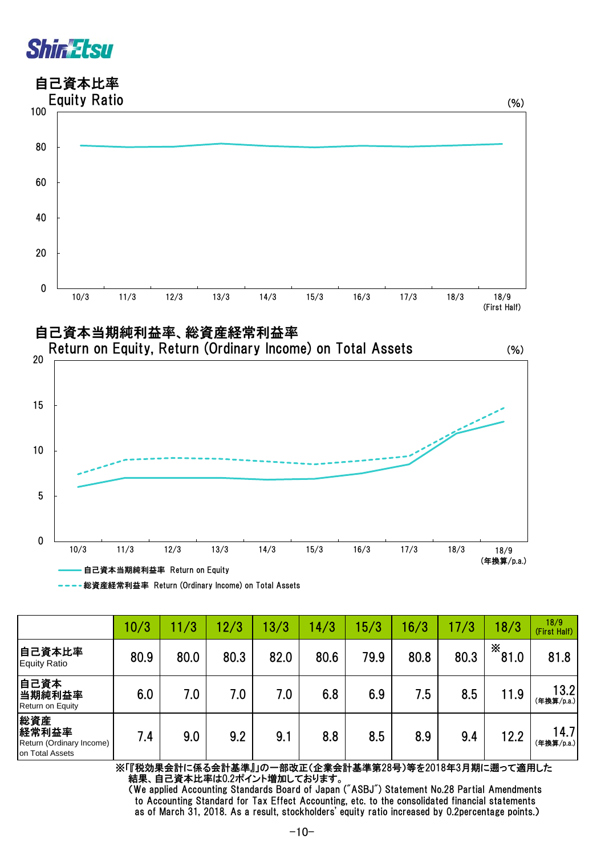





| ----総資産経常利益率 Return (Ordinary Income) on Total Assets |
|-------------------------------------------------------|
|                                                       |

|                                                             | 10/3 | 11/3 | 12/3 | 13/3 | 14/3 | 5/3  | 16/3 | 17/3 | 18/3      | 18/9<br>(First Half) |
|-------------------------------------------------------------|------|------|------|------|------|------|------|------|-----------|----------------------|
| 自己資本比率<br><b>Equity Ratio</b>                               | 80.9 | 80.0 | 80.3 | 82.0 | 80.6 | 79.9 | 80.8 | 80.3 | X<br>81.0 | 81.8                 |
| 自己資本<br>当期純利益率<br>Return on Equity                          | 6.0  | 7.0  | 7.0  | 7.0  | 6.8  | 6.9  | 7.5  | 8.5  | 11.9      | 13.2<br>(年換算/p.a.)   |
| 総資産<br>経常利益率<br>Return (Ordinary Income)<br>on Total Assets | 7.4  | 9.0  | 9.2  | 9.1  | 8.8  | 8.5  | 8.9  | 9.4  | 12.2      | 14.7<br>(年換算/p.a.)   |

※「『税効果会計に係る会計基準』」の一部改正(企業会計基準第28号)等を2018年3月期に遡って適用した 結果、自己資本比率は0.2ポイント増加しております。

 (We applied Accounting Standards Board of Japan ("ASBJ") Statement No.28 Partial Amendments to Accounting Standard for Tax Effect Accounting, etc. to the consolidated financial statements as of March 31, 2018. As a result, stockholders' equity ratio increased by 0.2percentage points.)